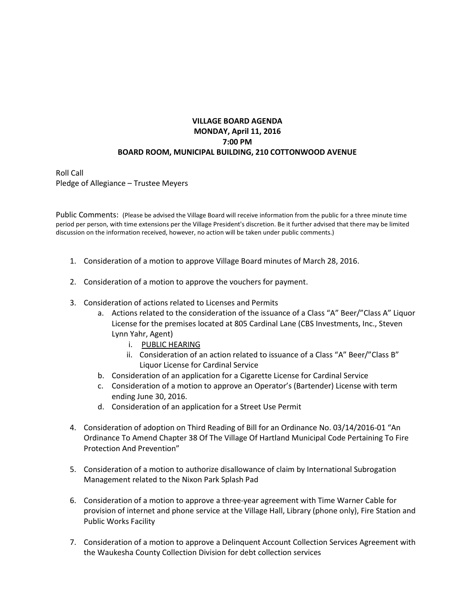## **VILLAGE BOARD AGENDA MONDAY, April 11, 2016 7:00 PM BOARD ROOM, MUNICIPAL BUILDING, 210 COTTONWOOD AVENUE**

Roll Call Pledge of Allegiance – Trustee Meyers

Public Comments: (Please be advised the Village Board will receive information from the public for a three minute time period per person, with time extensions per the Village President's discretion. Be it further advised that there may be limited discussion on the information received, however, no action will be taken under public comments.)

- 1. Consideration of a motion to approve Village Board minutes of March 28, 2016.
- 2. Consideration of a motion to approve the vouchers for payment.
- 3. Consideration of actions related to Licenses and Permits
	- a. Actions related to the consideration of the issuance of a Class "A" Beer/"Class A" Liquor License for the premises located at 805 Cardinal Lane (CBS Investments, Inc., Steven Lynn Yahr, Agent)
		- i. PUBLIC HEARING
		- ii. Consideration of an action related to issuance of a Class "A" Beer/"Class B" Liquor License for Cardinal Service
	- b. Consideration of an application for a Cigarette License for Cardinal Service
	- c. Consideration of a motion to approve an Operator's (Bartender) License with term ending June 30, 2016.
	- d. Consideration of an application for a Street Use Permit
- 4. Consideration of adoption on Third Reading of Bill for an Ordinance No. 03/14/2016-01 "An Ordinance To Amend Chapter 38 Of The Village Of Hartland Municipal Code Pertaining To Fire Protection And Prevention"
- 5. Consideration of a motion to authorize disallowance of claim by International Subrogation Management related to the Nixon Park Splash Pad
- 6. Consideration of a motion to approve a three-year agreement with Time Warner Cable for provision of internet and phone service at the Village Hall, Library (phone only), Fire Station and Public Works Facility
- 7. Consideration of a motion to approve a Delinquent Account Collection Services Agreement with the Waukesha County Collection Division for debt collection services